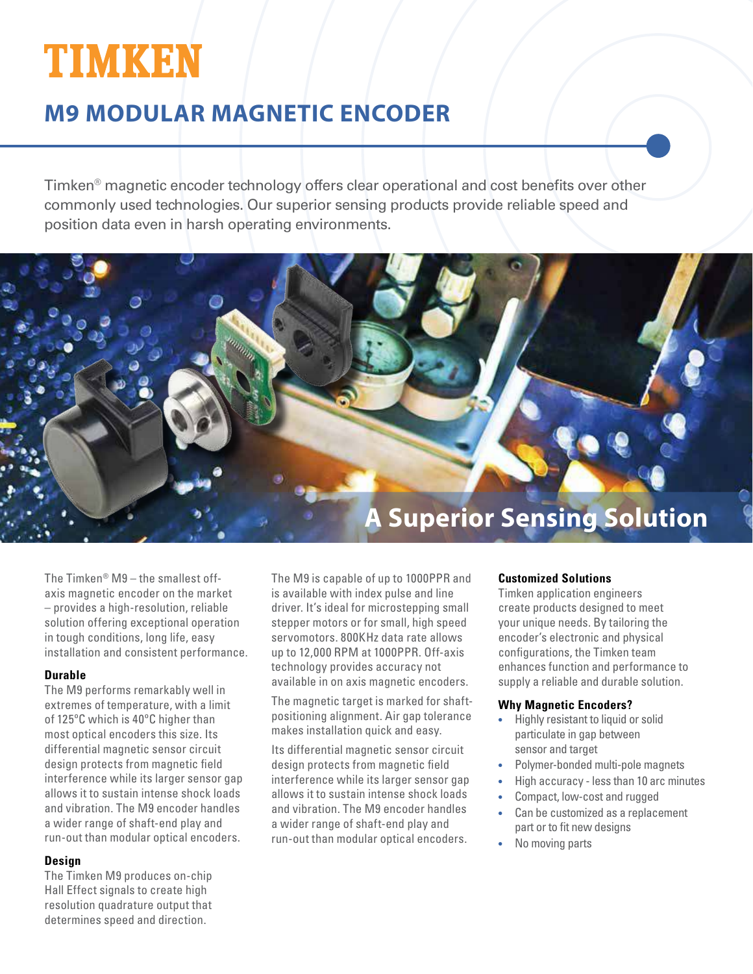# **TIMKEN**

# **M9 MODULAR MAGNETIC ENCODER**

Timken® magnetic encoder technology offers clear operational and cost benefits over other commonly used technologies. Our superior sensing products provide reliable speed and position data even in harsh operating environments.



The Timken®  $M9$  – the smallest offaxis magnetic encoder on the market – provides a high-resolution, reliable solution offering exceptional operation in tough conditions, long life, easy installation and consistent performance.

# **Durable**

The M9 performs remarkably well in extremes of temperature, with a limit of 125ºC which is 40ºC higher than most optical encoders this size. Its differential magnetic sensor circuit design protects from magnetic field interference while its larger sensor gap allows it to sustain intense shock loads and vibration. The M9 encoder handles a wider range of shaft-end play and run-out than modular optical encoders.

# **Design**

The Timken M9 produces on-chip Hall Effect signals to create high resolution quadrature output that determines speed and direction.

The M9 is capable of up to 1000PPR and is available with index pulse and line driver. It's ideal for microstepping small stepper motors or for small, high speed servomotors. 800KHz data rate allows up to 12,000 RPM at 1000PPR. Off-axis technology provides accuracy not available in on axis magnetic encoders.

The magnetic target is marked for shaftpositioning alignment. Air gap tolerance makes installation quick and easy.

Its differential magnetic sensor circuit design protects from magnetic field interference while its larger sensor gap allows it to sustain intense shock loads and vibration. The M9 encoder handles a wider range of shaft-end play and run-out than modular optical encoders.

# **Customized Solutions**

Timken application engineers create products designed to meet your unique needs. By tailoring the encoder's electronic and physical configurations, the Timken team enhances function and performance to supply a reliable and durable solution.

# **Why Magnetic Encoders?**

- Highly resistant to liquid or solid particulate in gap between sensor and target
- Polymer-bonded multi-pole magnets
- High accuracy less than 10 arc minutes
- Compact, low-cost and rugged
- Can be customized as a replacement part or to fit new designs
- No moving parts